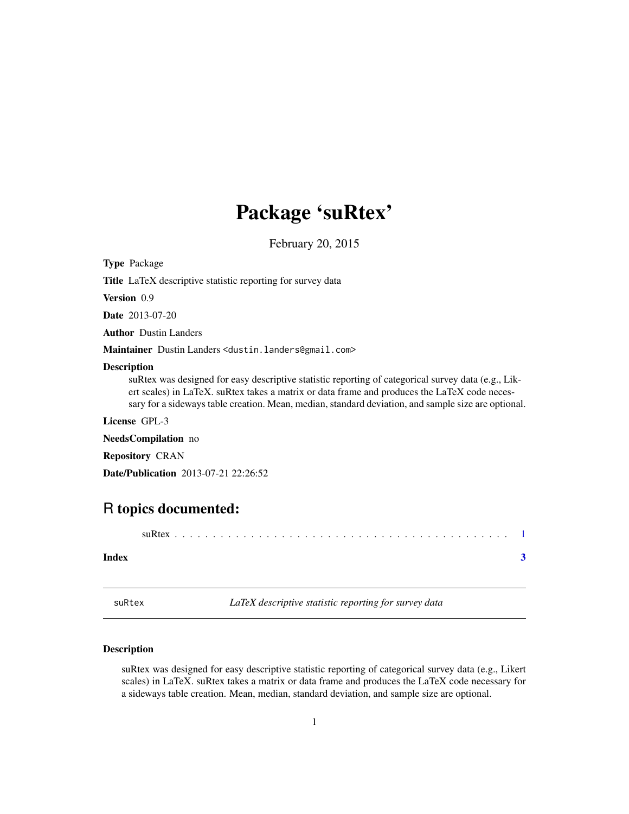# <span id="page-0-0"></span>Package 'suRtex'

February 20, 2015

Type Package

Title LaTeX descriptive statistic reporting for survey data

Version 0.9

Date 2013-07-20

Author Dustin Landers

Maintainer Dustin Landers <dustin.landers@gmail.com>

#### Description

suRtex was designed for easy descriptive statistic reporting of categorical survey data (e.g., Likert scales) in LaTeX. suRtex takes a matrix or data frame and produces the LaTeX code necessary for a sideways table creation. Mean, median, standard deviation, and sample size are optional.

License GPL-3

NeedsCompilation no

Repository CRAN

Date/Publication 2013-07-21 22:26:52

# R topics documented:

# **Index** [3](#page-2-0)

suRtex *LaTeX descriptive statistic reporting for survey data*

### Description

suRtex was designed for easy descriptive statistic reporting of categorical survey data (e.g., Likert scales) in LaTeX. suRtex takes a matrix or data frame and produces the LaTeX code necessary for a sideways table creation. Mean, median, standard deviation, and sample size are optional.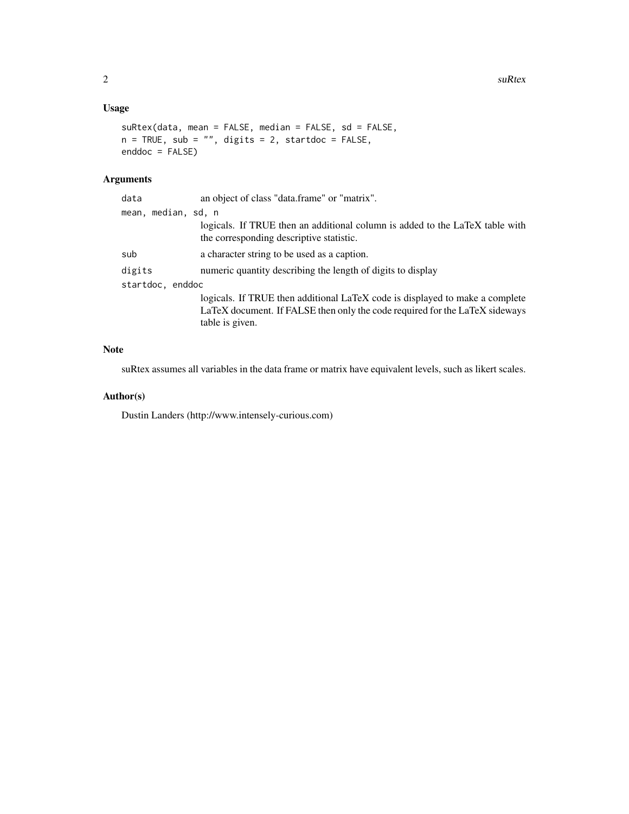# Usage

```
suRtex(data, mean = FALSE, median = FALSE, sd = FALSE,
n = TRUE, sub = "", digits = 2, startdoc = FALSE,
enddoc = FALSE)
```
# Arguments

| data                | an object of class "data.frame" or "matrix".                                                                             |
|---------------------|--------------------------------------------------------------------------------------------------------------------------|
| mean, median, sd, n |                                                                                                                          |
|                     | logicals. If TRUE then an additional column is added to the LaTeX table with<br>the corresponding descriptive statistic. |
| sub                 | a character string to be used as a caption.                                                                              |
| digits              | numeric quantity describing the length of digits to display                                                              |
| startdoc, enddoc    |                                                                                                                          |
|                     | logicals. If TRUE then additional LaTeX code is displayed to make a complete                                             |
|                     | LaTeX document. If FALSE then only the code required for the LaTeX sideways                                              |
|                     | table is given.                                                                                                          |
|                     |                                                                                                                          |

## Note

suRtex assumes all variables in the data frame or matrix have equivalent levels, such as likert scales.

# Author(s)

Dustin Landers (http://www.intensely-curious.com)